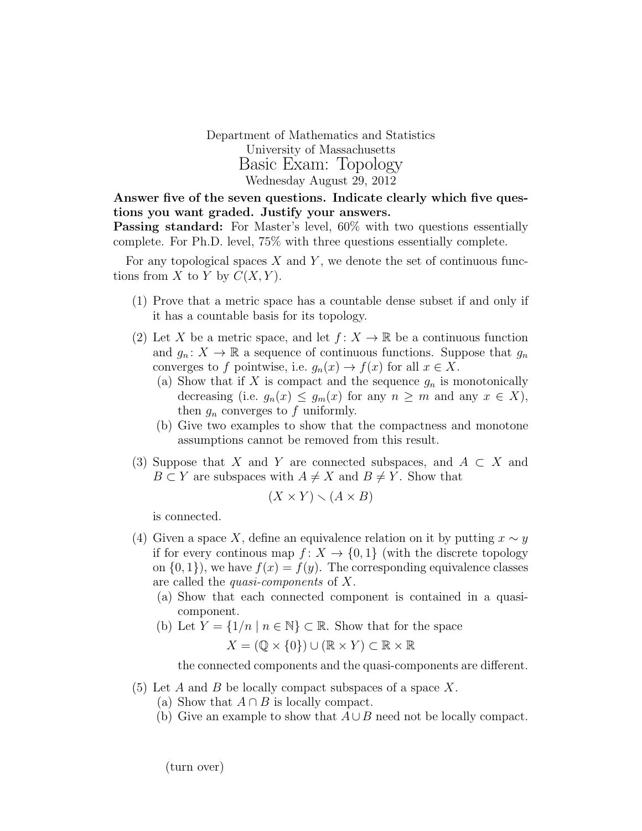Department of Mathematics and Statistics University of Massachusetts Basic Exam: Topology Wednesday August 29, 2012

Answer five of the seven questions. Indicate clearly which five questions you want graded. Justify your answers.

**Passing standard:** For Master's level, 60% with two questions essentially complete. For Ph.D. level, 75% with three questions essentially complete.

For any topological spaces  $X$  and  $Y$ , we denote the set of continuous functions from X to Y by  $C(X, Y)$ .

- (1) Prove that a metric space has a countable dense subset if and only if it has a countable basis for its topology.
- (2) Let X be a metric space, and let  $f: X \to \mathbb{R}$  be a continuous function and  $g_n: X \to \mathbb{R}$  a sequence of continuous functions. Suppose that  $g_n$ converges to f pointwise, i.e.  $g_n(x) \to f(x)$  for all  $x \in X$ .
	- (a) Show that if X is compact and the sequence  $g_n$  is monotonically decreasing (i.e.  $g_n(x) \leq g_m(x)$  for any  $n \geq m$  and any  $x \in X$ ), then  $g_n$  converges to f uniformly.
	- (b) Give two examples to show that the compactness and monotone assumptions cannot be removed from this result.
- (3) Suppose that X and Y are connected subspaces, and  $A \subset X$  and  $B \subset Y$  are subspaces with  $A \neq X$  and  $B \neq Y$ . Show that

$$
(X \times Y) \smallsetminus (A \times B)
$$

is connected.

- (4) Given a space X, define an equivalence relation on it by putting  $x \sim y$ if for every continous map  $f: X \to \{0,1\}$  (with the discrete topology on  $\{0, 1\}$ , we have  $f(x) = f(y)$ . The corresponding equivalence classes are called the quasi-components of X.
	- (a) Show that each connected component is contained in a quasicomponent.
	- (b) Let  $Y = \{1/n \mid n \in \mathbb{N}\}\subset \mathbb{R}$ . Show that for the space

$$
X = (\mathbb{Q} \times \{0\}) \cup (\mathbb{R} \times Y) \subset \mathbb{R} \times \mathbb{R}
$$

the connected components and the quasi-components are different.

- $(5)$  Let A and B be locally compact subspaces of a space X.
	- (a) Show that  $A \cap B$  is locally compact.
	- (b) Give an example to show that  $A \cup B$  need not be locally compact.

(turn over)